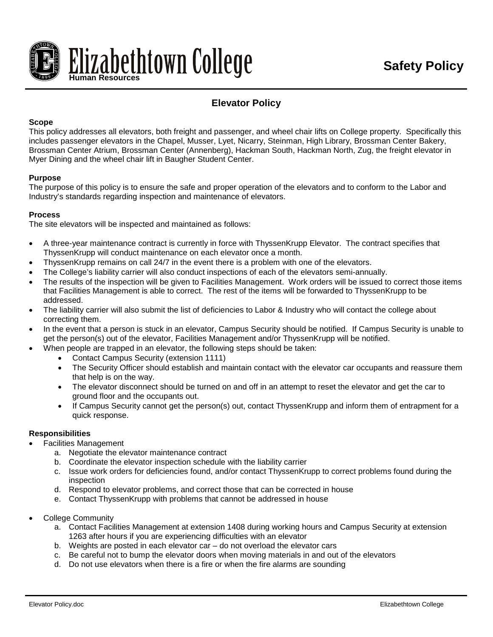

# **Elevator Policy**

#### **Scope**

This policy addresses all elevators, both freight and passenger, and wheel chair lifts on College property. Specifically this includes passenger elevators in the Chapel, Musser, Lyet, Nicarry, Steinman, High Library, Brossman Center Bakery, Brossman Center Atrium, Brossman Center (Annenberg), Hackman South, Hackman North, Zug, the freight elevator in Myer Dining and the wheel chair lift in Baugher Student Center.

#### **Purpose**

The purpose of this policy is to ensure the safe and proper operation of the elevators and to conform to the Labor and Industry's standards regarding inspection and maintenance of elevators.

#### **Process**

The site elevators will be inspected and maintained as follows:

- A three-year maintenance contract is currently in force with ThyssenKrupp Elevator. The contract specifies that ThyssenKrupp will conduct maintenance on each elevator once a month.
- ThyssenKrupp remains on call 24/7 in the event there is a problem with one of the elevators.
- The College's liability carrier will also conduct inspections of each of the elevators semi-annually.
- The results of the inspection will be given to Facilities Management. Work orders will be issued to correct those items that Facilities Management is able to correct. The rest of the items will be forwarded to ThyssenKrupp to be addressed.
- The liability carrier will also submit the list of deficiencies to Labor & Industry who will contact the college about correcting them.
- In the event that a person is stuck in an elevator, Campus Security should be notified. If Campus Security is unable to get the person(s) out of the elevator, Facilities Management and/or ThyssenKrupp will be notified.
- When people are trapped in an elevator, the following steps should be taken:
	- Contact Campus Security (extension 1111)
	- The Security Officer should establish and maintain contact with the elevator car occupants and reassure them that help is on the way.
	- The elevator disconnect should be turned on and off in an attempt to reset the elevator and get the car to ground floor and the occupants out.
	- If Campus Security cannot get the person(s) out, contact ThyssenKrupp and inform them of entrapment for a quick response.

#### **Responsibilities**

- Facilities Management
	- a. Negotiate the elevator maintenance contract
	- b. Coordinate the elevator inspection schedule with the liability carrier
	- c. Issue work orders for deficiencies found, and/or contact ThyssenKrupp to correct problems found during the inspection
	- d. Respond to elevator problems, and correct those that can be corrected in house
	- e. Contact ThyssenKrupp with problems that cannot be addressed in house
- College Community
	- a. Contact Facilities Management at extension 1408 during working hours and Campus Security at extension 1263 after hours if you are experiencing difficulties with an elevator
	- b. Weights are posted in each elevator car do not overload the elevator cars
	- c. Be careful not to bump the elevator doors when moving materials in and out of the elevators
	- d. Do not use elevators when there is a fire or when the fire alarms are sounding